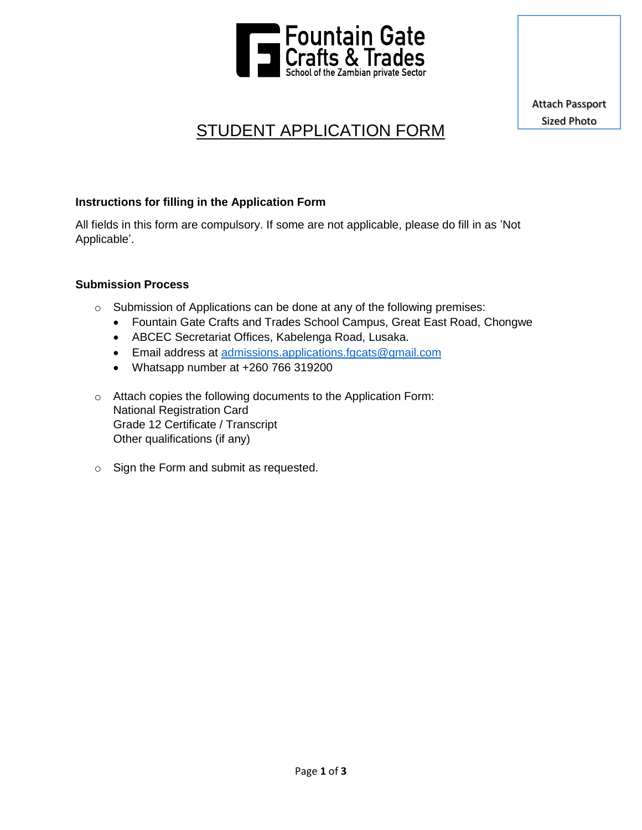

Attach Passport Sized Photo

# STUDENT APPLICATION FORM

### **Instructions for filling in the Application Form**

All fields in this form are compulsory. If some are not applicable, please do fill in as 'Not Applicable'.

### **Submission Process**

- o Submission of Applications can be done at any of the following premises:
	- Fountain Gate Crafts and Trades School Campus, Great East Road, Chongwe
	- ABCEC Secretariat Offices, Kabelenga Road, Lusaka.
	- Email address at [admissions.applications.fgcats@gmail.com](mailto:admissions.applications.fgcats@gmail.com)
	- Whatsapp number at +260 766 319200
- o Attach copies the following documents to the Application Form: National Registration Card Grade 12 Certificate / Transcript Other qualifications (if any)
- o Sign the Form and submit as requested.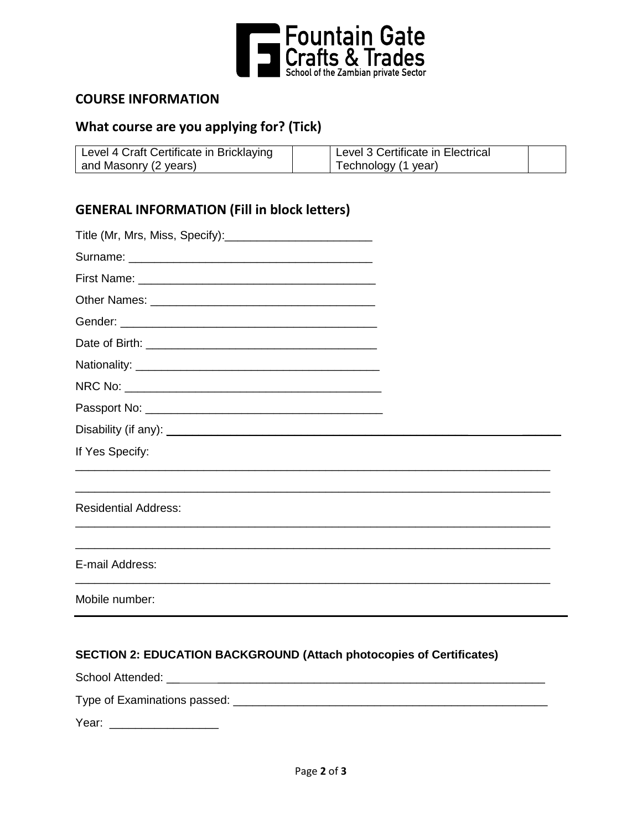

## **COURSE INFORMATION**

# **What course are you applying for? (Tick)**

| Level 4 Craft Certificate in Bricklaying | Level 3 Certificate in Electrical |  |
|------------------------------------------|-----------------------------------|--|
| and Masonry (2 years)                    | Technology (1 year)               |  |

## **GENERAL INFORMATION (Fill in block letters)**

| If Yes Specify:                                                             |  |
|-----------------------------------------------------------------------------|--|
|                                                                             |  |
| <b>Residential Address:</b>                                                 |  |
| E-mail Address:                                                             |  |
| Mobile number:                                                              |  |
| <b>SECTION 2: EDUCATION BACKGROUND (Attach photocopies of Certificates)</b> |  |

School Attended: \_\_ \_\_\_\_\_\_\_\_\_\_\_\_\_\_\_\_\_\_\_\_\_\_\_\_\_\_\_\_\_\_\_\_\_\_\_\_\_\_\_\_\_\_\_\_\_\_\_\_\_\_\_

Type of Examinations passed: \_\_\_\_\_\_\_\_\_\_\_\_\_\_\_\_\_\_\_\_\_\_\_\_\_\_\_\_\_\_\_\_\_\_\_\_\_\_\_\_\_\_\_\_\_\_\_\_\_

Year: \_\_\_\_\_\_\_\_\_\_\_\_\_\_\_\_\_